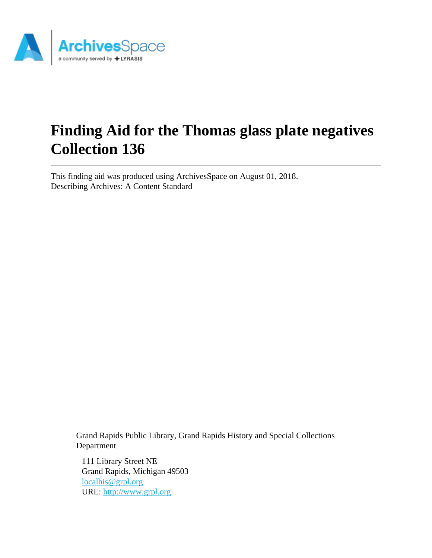

# **Finding Aid for the Thomas glass plate negatives Collection 136**

This finding aid was produced using ArchivesSpace on August 01, 2018. Describing Archives: A Content Standard

> Grand Rapids Public Library, Grand Rapids History and Special Collections Department

111 Library Street NE Grand Rapids, Michigan 49503 [localhis@grpl.org](mailto:localhis@grpl.org) URL:<http://www.grpl.org>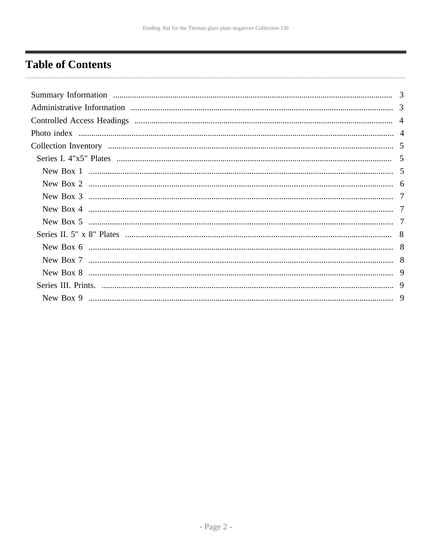# <span id="page-1-0"></span>**Table of Contents**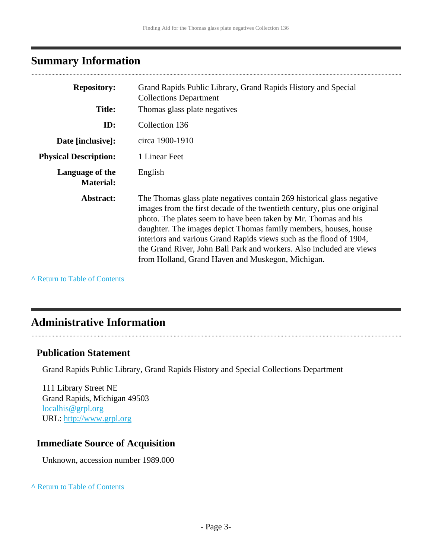# <span id="page-2-0"></span>**Summary Information**

| <b>Repository:</b>                  | Grand Rapids Public Library, Grand Rapids History and Special<br><b>Collections Department</b>                                                                                                                                                                                                                                                                                                                                                                                                |
|-------------------------------------|-----------------------------------------------------------------------------------------------------------------------------------------------------------------------------------------------------------------------------------------------------------------------------------------------------------------------------------------------------------------------------------------------------------------------------------------------------------------------------------------------|
| <b>Title:</b>                       | Thomas glass plate negatives                                                                                                                                                                                                                                                                                                                                                                                                                                                                  |
| ID:                                 | Collection 136                                                                                                                                                                                                                                                                                                                                                                                                                                                                                |
| Date [inclusive]:                   | circa 1900-1910                                                                                                                                                                                                                                                                                                                                                                                                                                                                               |
| <b>Physical Description:</b>        | 1 Linear Feet                                                                                                                                                                                                                                                                                                                                                                                                                                                                                 |
| Language of the<br><b>Material:</b> | English                                                                                                                                                                                                                                                                                                                                                                                                                                                                                       |
| Abstract:                           | The Thomas glass plate negatives contain 269 historical glass negative<br>images from the first decade of the twentieth century, plus one original<br>photo. The plates seem to have been taken by Mr. Thomas and his<br>daughter. The images depict Thomas family members, houses, house<br>interiors and various Grand Rapids views such as the flood of 1904,<br>the Grand River, John Ball Park and workers. Also included are views<br>from Holland, Grand Haven and Muskegon, Michigan. |

**^** [Return to Table of Contents](#page-1-0)

# <span id="page-2-1"></span>**Administrative Information**

#### **Publication Statement**

Grand Rapids Public Library, Grand Rapids History and Special Collections Department

111 Library Street NE Grand Rapids, Michigan 49503 [localhis@grpl.org](mailto:localhis@grpl.org) URL:<http://www.grpl.org>

### **Immediate Source of Acquisition**

Unknown, accession number 1989.000

#### **^** [Return to Table of Contents](#page-1-0)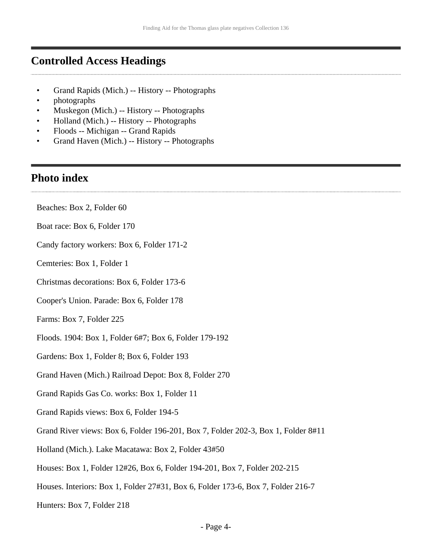### <span id="page-3-0"></span>**Controlled Access Headings**

- Grand Rapids (Mich.) -- History -- Photographs
- photographs
- Muskegon (Mich.) -- History -- Photographs
- Holland (Mich.) -- History -- Photographs
- Floods -- Michigan -- Grand Rapids
- Grand Haven (Mich.) -- History -- Photographs

### <span id="page-3-1"></span>**Photo index**

- Beaches: Box 2, Folder 60
- Boat race: Box 6, Folder 170
- Candy factory workers: Box 6, Folder 171-2
- Cemteries: Box 1, Folder 1
- Christmas decorations: Box 6, Folder 173-6
- Cooper's Union. Parade: Box 6, Folder 178
- Farms: Box 7, Folder 225
- Floods. 1904: Box 1, Folder 6#7; Box 6, Folder 179-192
- Gardens: Box 1, Folder 8; Box 6, Folder 193
- Grand Haven (Mich.) Railroad Depot: Box 8, Folder 270
- Grand Rapids Gas Co. works: Box 1, Folder 11
- Grand Rapids views: Box 6, Folder 194-5
- Grand River views: Box 6, Folder 196-201, Box 7, Folder 202-3, Box 1, Folder 8#11
- Holland (Mich.). Lake Macatawa: Box 2, Folder 43#50
- Houses: Box 1, Folder 12#26, Box 6, Folder 194-201, Box 7, Folder 202-215
- Houses. Interiors: Box 1, Folder 27#31, Box 6, Folder 173-6, Box 7, Folder 216-7
- Hunters: Box 7, Folder 218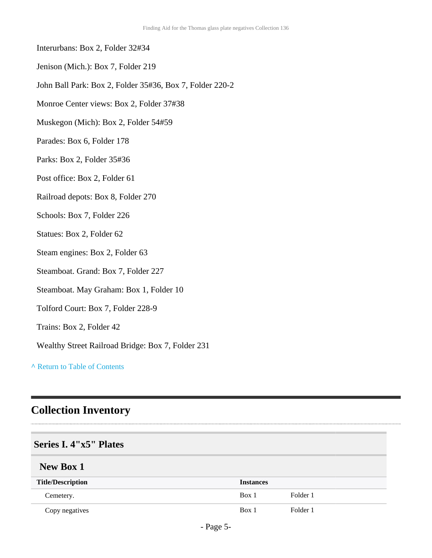- Interurbans: Box 2, Folder 32#34
- Jenison (Mich.): Box 7, Folder 219
- John Ball Park: Box 2, Folder 35#36, Box 7, Folder 220-2
- Monroe Center views: Box 2, Folder 37#38
- Muskegon (Mich): Box 2, Folder 54#59
- Parades: Box 6, Folder 178
- Parks: Box 2, Folder 35#36
- Post office: Box 2, Folder 61
- Railroad depots: Box 8, Folder 270
- Schools: Box 7, Folder 226
- Statues: Box 2, Folder 62
- Steam engines: Box 2, Folder 63
- Steamboat. Grand: Box 7, Folder 227
- Steamboat. May Graham: Box 1, Folder 10
- Tolford Court: Box 7, Folder 228-9
- Trains: Box 2, Folder 42
- Wealthy Street Railroad Bridge: Box 7, Folder 231

## <span id="page-4-0"></span>**Collection Inventory**

#### <span id="page-4-1"></span>**Series I. 4"x5" Plates**

#### <span id="page-4-2"></span>**New Box 1**

| <b>Title/Description</b> | <b>Instances</b> |          |
|--------------------------|------------------|----------|
| Cemetery.                | Box 1            | Folder 1 |
| Copy negatives           | Box 1            | Folder 1 |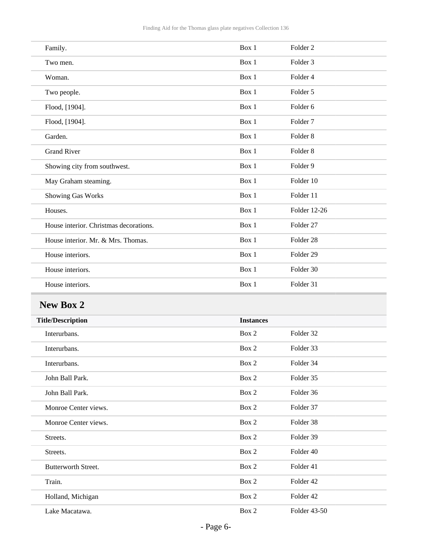| Family.                                | Box 1 | Folder <sub>2</sub>  |
|----------------------------------------|-------|----------------------|
| Two men.                               | Box 1 | Folder <sub>3</sub>  |
| Woman.                                 | Box 1 | Folder 4             |
| Two people.                            | Box 1 | Folder 5             |
| Flood, [1904].                         | Box 1 | Folder <sub>6</sub>  |
| Flood, [1904].                         | Box 1 | Folder <sub>7</sub>  |
| Garden.                                | Box 1 | Folder <sub>8</sub>  |
| <b>Grand River</b>                     | Box 1 | Folder <sub>8</sub>  |
| Showing city from southwest.           | Box 1 | Folder 9             |
| May Graham steaming.                   | Box 1 | Folder 10            |
| Showing Gas Works                      | Box 1 | Folder 11            |
| Houses.                                | Box 1 | Folder 12-26         |
| House interior. Christmas decorations. | Box 1 | Folder <sub>27</sub> |
| House interior. Mr. & Mrs. Thomas.     | Box 1 | Folder <sub>28</sub> |
| House interiors.                       | Box 1 | Folder 29            |
| House interiors.                       | Box 1 | Folder 30            |
| House interiors.                       | Box 1 | Folder 31            |

# <span id="page-5-0"></span>**New Box 2**

| <b>Title/Description</b>   | <b>Instances</b> |              |
|----------------------------|------------------|--------------|
| Interurbans.               | Box 2            | Folder 32    |
| Interurbans.               | Box 2            | Folder 33    |
| Interurbans.               | Box 2            | Folder 34    |
| John Ball Park.            | Box 2            | Folder 35    |
| John Ball Park.            | Box 2            | Folder 36    |
| Monroe Center views.       | Box 2            | Folder 37    |
| Monroe Center views.       | Box 2            | Folder 38    |
| Streets.                   | Box 2            | Folder 39    |
| Streets.                   | Box 2            | Folder 40    |
| <b>Butterworth Street.</b> | Box 2            | Folder 41    |
| Train.                     | Box 2            | Folder 42    |
| Holland, Michigan          | Box 2            | Folder 42    |
| Lake Macatawa.             | Box 2            | Folder 43-50 |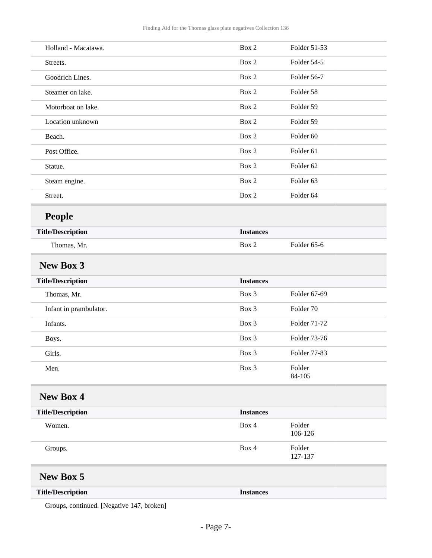<span id="page-6-0"></span>

| Holland - Macatawa.      | Box 2            | Folder 51-53         |
|--------------------------|------------------|----------------------|
| Streets.                 | Box 2            | Folder 54-5          |
| Goodrich Lines.          | Box 2            | Folder 56-7          |
| Steamer on lake.         | Box 2            | Folder 58            |
| Motorboat on lake.       | Box 2            | Folder 59            |
| Location unknown         | Box 2            | Folder 59            |
| Beach.                   | Box 2            | Folder <sub>60</sub> |
| Post Office.             | Box 2            | Folder 61            |
| Statue.                  | Box 2            | Folder <sub>62</sub> |
| Steam engine.            | Box 2            | Folder 63            |
| Street.                  | Box 2            | Folder 64            |
| People                   |                  |                      |
| <b>Title/Description</b> | <b>Instances</b> |                      |
| Thomas, Mr.              | Box 2            | Folder 65-6          |
| <b>New Box 3</b>         |                  |                      |
| <b>Title/Description</b> | <b>Instances</b> |                      |
| Thomas, Mr.              | Box 3            | Folder 67-69         |
| Infant in prambulator.   | Box 3            | Folder 70            |
| Infants.                 | Box 3            | Folder 71-72         |
| Boys.                    | Box 3            | Folder 73-76         |
| Girls.                   | Box 3            | Folder 77-83         |
| Men.                     | Box 3            | Folder<br>84-105     |
| <b>New Box 4</b>         |                  |                      |
| <b>Title/Description</b> | <b>Instances</b> |                      |
| Women.                   | Box 4            | Folder<br>106-126    |
| Groups.                  | Box 4            | Folder<br>127-137    |
| <b>New Box 5</b>         |                  |                      |
| <b>Title/Description</b> | <b>Instances</b> |                      |

<span id="page-6-2"></span><span id="page-6-1"></span>Groups, continued. [Negative 147, broken]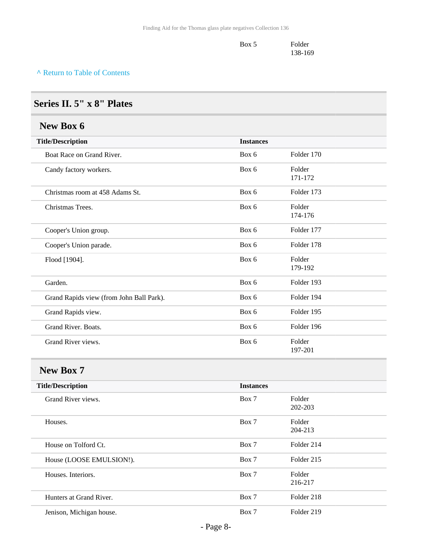| Box 5 | Folder  |  |
|-------|---------|--|
|       | 138-169 |  |

### <span id="page-7-0"></span>**Series II. 5" x 8" Plates**

### <span id="page-7-1"></span>**New Box 6**

| <b>Title/Description</b>                 | <b>Instances</b> |                   |
|------------------------------------------|------------------|-------------------|
| Boat Race on Grand River.                | Box 6            | Folder 170        |
| Candy factory workers.                   | Box 6            | Folder<br>171-172 |
| Christmas room at 458 Adams St.          | Box 6            | Folder 173        |
| Christmas Trees.                         | Box 6            | Folder<br>174-176 |
| Cooper's Union group.                    | Box 6            | Folder 177        |
| Cooper's Union parade.                   | Box 6            | Folder 178        |
| Flood [1904].                            | Box 6            | Folder<br>179-192 |
| Garden.                                  | Box 6            | Folder 193        |
| Grand Rapids view (from John Ball Park). | Box 6            | Folder 194        |
| Grand Rapids view.                       | Box 6            | Folder 195        |
| Grand River. Boats.                      | Box 6            | Folder 196        |
| Grand River views.                       | Box 6            | Folder<br>197-201 |

# <span id="page-7-2"></span>**New Box 7**

| <b>Title/Description</b> | <b>Instances</b> |                   |
|--------------------------|------------------|-------------------|
| Grand River views.       | Box 7            | Folder<br>202-203 |
| Houses.                  | Box 7            | Folder<br>204-213 |
| House on Tolford Ct.     | Box 7            | Folder 214        |
| House (LOOSE EMULSION!). | Box 7            | Folder 215        |
| Houses, Interiors.       | Box 7            | Folder<br>216-217 |
| Hunters at Grand River.  | Box 7            | Folder 218        |
| Jenison, Michigan house. | Box 7            | Folder 219        |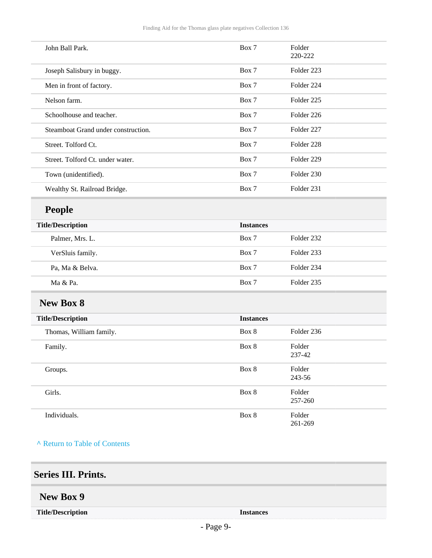| John Ball Park.                     | Box 7            | Folder<br>220-222 |
|-------------------------------------|------------------|-------------------|
| Joseph Salisbury in buggy.          | Box 7            | Folder 223        |
| Men in front of factory.            | Box 7            | Folder 224        |
| Nelson farm.                        | Box 7            | Folder 225        |
| Schoolhouse and teacher.            | Box 7            | Folder 226        |
| Steamboat Grand under construction. | Box 7            | Folder 227        |
| Street. Tolford Ct.                 | Box 7            | Folder 228        |
| Street. Tolford Ct. under water.    | Box 7            | Folder 229        |
| Town (unidentified).                | Box 7            | Folder 230        |
| Wealthy St. Railroad Bridge.        | Box 7            | Folder 231        |
| <b>People</b>                       |                  |                   |
| <b>Title/Description</b>            | <b>Instances</b> |                   |
| Palmer, Mrs. L.                     | Box 7            | Folder 232        |
| VerSluis family.                    | Box 7            | Folder 233        |
| Pa, Ma & Belva.                     | Box 7            | Folder 234        |
| Ma & Pa.                            | Box 7            | Folder 235        |
| <b>New Box 8</b>                    |                  |                   |
| <b>Title/Description</b>            | <b>Instances</b> |                   |
| Thomas, William family.             | Box 8            | Folder 236        |
| Family.                             | Box 8            | Folder<br>237-42  |
| Groups.                             | Box 8            | Folder<br>243-56  |
| Girls.                              | Box 8            | Folder<br>257-260 |
| Individuals.                        | Box 8            | Folder<br>261-269 |

<span id="page-8-2"></span><span id="page-8-1"></span><span id="page-8-0"></span>

| <b>Series III. Prints.</b> |                      |  |
|----------------------------|----------------------|--|
| New Box 9                  |                      |  |
| <b>Title/Description</b>   | <b>Instances</b><br> |  |
|                            |                      |  |